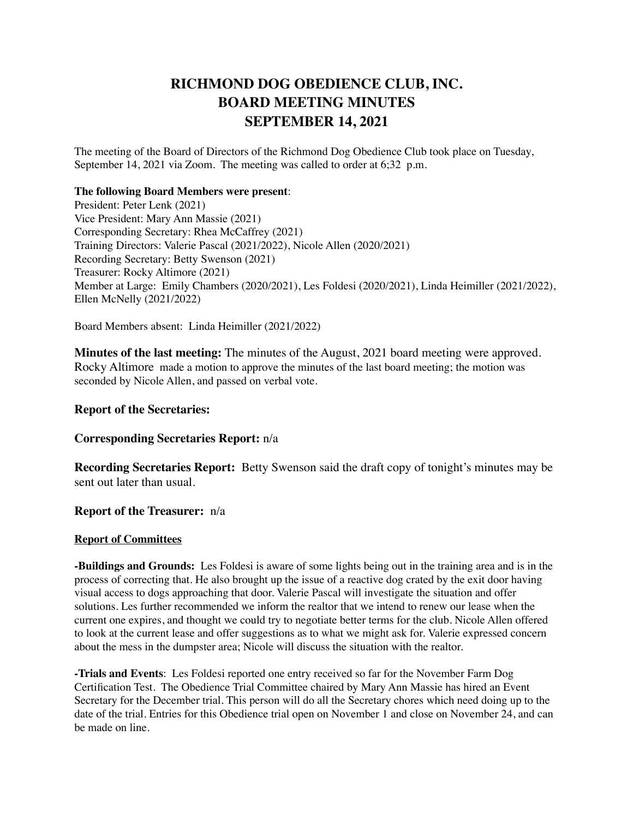# **RICHMOND DOG OBEDIENCE CLUB, INC. BOARD MEETING MINUTES SEPTEMBER 14, 2021**

The meeting of the Board of Directors of the Richmond Dog Obedience Club took place on Tuesday, September 14, 2021 via Zoom. The meeting was called to order at 6;32 p.m.

#### **The following Board Members were present**:

President: Peter Lenk (2021) Vice President: Mary Ann Massie (2021) Corresponding Secretary: Rhea McCaffrey (2021) Training Directors: Valerie Pascal (2021/2022), Nicole Allen (2020/2021) Recording Secretary: Betty Swenson (2021) Treasurer: Rocky Altimore (2021) Member at Large: Emily Chambers (2020/2021), Les Foldesi (2020/2021), Linda Heimiller (2021/2022), Ellen McNelly (2021/2022)

Board Members absent: Linda Heimiller (2021/2022)

**Minutes of the last meeting:** The minutes of the August, 2021 board meeting were approved. Rocky Altimore made a motion to approve the minutes of the last board meeting; the motion was seconded by Nicole Allen, and passed on verbal vote.

## **Report of the Secretaries:**

## **Corresponding Secretaries Report:** n/a

**Recording Secretaries Report:** Betty Swenson said the draft copy of tonight's minutes may be sent out later than usual.

### **Report of the Treasurer:** n/a

### **Report of Committees**

**-Buildings and Grounds:** Les Foldesi is aware of some lights being out in the training area and is in the process of correcting that. He also brought up the issue of a reactive dog crated by the exit door having visual access to dogs approaching that door. Valerie Pascal will investigate the situation and offer solutions. Les further recommended we inform the realtor that we intend to renew our lease when the current one expires, and thought we could try to negotiate better terms for the club. Nicole Allen offered to look at the current lease and offer suggestions as to what we might ask for. Valerie expressed concern about the mess in the dumpster area; Nicole will discuss the situation with the realtor.

**-Trials and Events**: Les Foldesi reported one entry received so far for the November Farm Dog Certification Test. The Obedience Trial Committee chaired by Mary Ann Massie has hired an Event Secretary for the December trial. This person will do all the Secretary chores which need doing up to the date of the trial. Entries for this Obedience trial open on November 1 and close on November 24, and can be made on line.